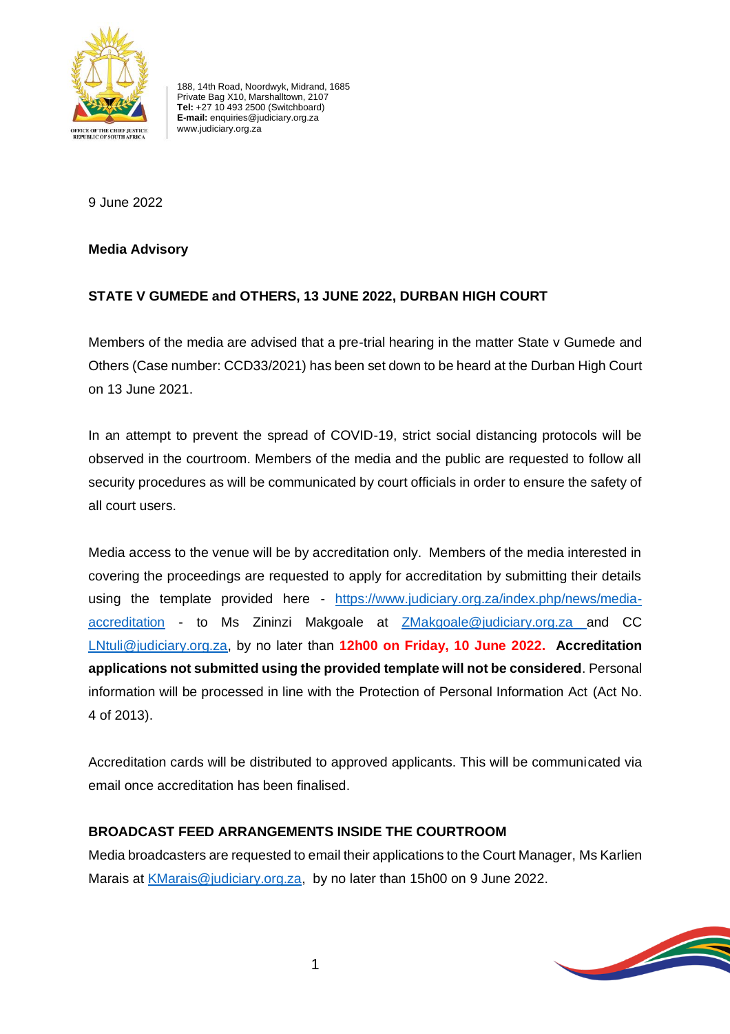

188, 14th Road, Noordwyk, Midrand, 1685 Private Bag X10, Marshalltown, 2107 **Tel:** +27 10 493 2500 (Switchboard) **E-mail:** enquiries@judiciary.org.za www.judiciary.org.za

9 June 2022

**Media Advisory**

# **STATE V GUMEDE and OTHERS, 13 JUNE 2022, DURBAN HIGH COURT**

Members of the media are advised that a pre-trial hearing in the matter State v Gumede and Others (Case number: CCD33/2021) has been set down to be heard at the Durban High Court on 13 June 2021.

In an attempt to prevent the spread of COVID-19, strict social distancing protocols will be observed in the courtroom. Members of the media and the public are requested to follow all security procedures as will be communicated by court officials in order to ensure the safety of all court users.

Media access to the venue will be by accreditation only. Members of the media interested in covering the proceedings are requested to apply for accreditation by submitting their details using the template provided here - [https://www.judiciary.org.za/index.php/news/media](https://www.judiciary.org.za/index.php/news/media-accreditation)[accreditation](https://www.judiciary.org.za/index.php/news/media-accreditation) - to Ms Zininzi Makgoale at **[ZMakgoale@judiciary.org.za](mailto:ZMakgoale@judiciary.org.za)** and CC [LNtuli@judiciary.org.za,](mailto:LNtuli@judiciary.org.za) by no later than **12h00 on Friday, 10 June 2022. Accreditation applications not submitted using the provided template will not be considered**. Personal information will be processed in line with the Protection of Personal Information Act (Act No. 4 of 2013).

Accreditation cards will be distributed to approved applicants. This will be communicated via email once accreditation has been finalised.

# **BROADCAST FEED ARRANGEMENTS INSIDE THE COURTROOM**

Media broadcasters are requested to email their applications to the Court Manager, Ms Karlien Marais at [KMarais@judiciary.org.za,](mailto:KMarais@judiciary.org.za) by no later than 15h00 on 9 June 2022.